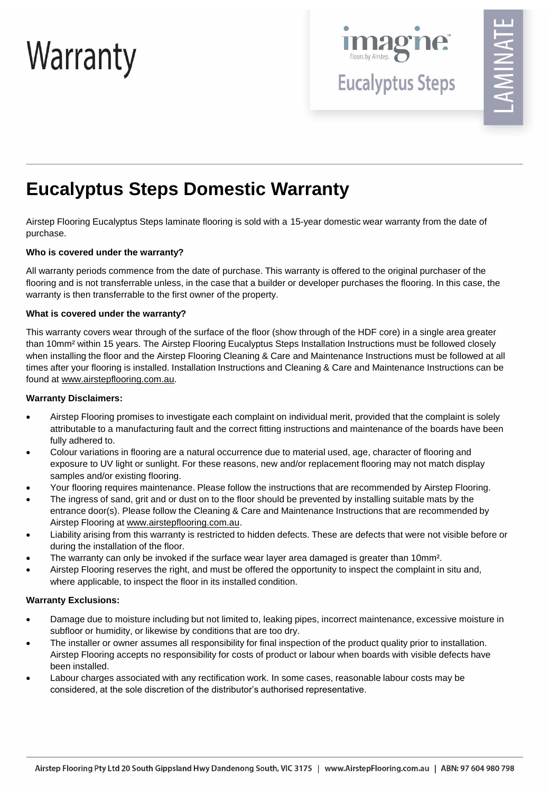# Warranty



**Eucalyptus Steps** 

# **Eucalyptus Steps Domestic Warranty**

Airstep Flooring Eucalyptus Steps laminate flooring is sold with a 15-year domestic wear warranty from the date of purchase.

## **Who is covered under the warranty?**

All warranty periods commence from the date of purchase. This warranty is offered to the original purchaser of the flooring and is not transferrable unless, in the case that a builder or developer purchases the flooring. In this case, the warranty is then transferrable to the first owner of the property.

## **What is covered under the warranty?**

This warranty covers wear through of the surface of the floor (show through of the HDF core) in a single area greater than 10mm² within 15 years. The Airstep Flooring Eucalyptus Steps Installation Instructions must be followed closely when installing the floor and the Airstep Flooring Cleaning & Care and Maintenance Instructions must be followed at all times after your flooring is installed. Installation Instructions and Cleaning & Care and Maintenance Instructions can be found at [www.airstepflooring.com.au.](http://www.airstepflooring.com.au/)

## **Warranty Disclaimers:**

- Airstep Flooring promises to investigate each complaint on individual merit, provided that the complaint is solely attributable to a manufacturing fault and the correct fitting instructions and maintenance of the boards have been fully adhered to.
- Colour variations in flooring are a natural occurrence due to material used, age, character of flooring and exposure to UV light or sunlight. For these reasons, new and/or replacement flooring may not match display samples and/or existing flooring.
- Your flooring requires maintenance. Please follow the instructions that are recommended by Airstep Flooring.
- The ingress of sand, grit and or dust on to the floor should be prevented by installing suitable mats by the entrance door(s). Please follow the Cleaning & Care and Maintenance Instructions that are recommended by Airstep Flooring at [www.airstepflooring.com.au.](http://www.airstepflooring.com.au/)
- Liability arising from this warranty is restricted to hidden defects. These are defects that were not visible before or during the installation of the floor.
- The warranty can only be invoked if the surface wear layer area damaged is greater than 10mm<sup>2</sup>.
- Airstep Flooring reserves the right, and must be offered the opportunity to inspect the complaint in situ and, where applicable, to inspect the floor in its installed condition.

## **Warranty Exclusions:**

- Damage due to moisture including but not limited to, leaking pipes, incorrect maintenance, excessive moisture in subfloor or humidity, or likewise by conditions that are too dry.
- The installer or owner assumes all responsibility for final inspection of the product quality prior to installation. Airstep Flooring accepts no responsibility for costs of product or labour when boards with visible defects have been installed.
- Labour charges associated with any rectification work. In some cases, reasonable labour costs may be considered, at the sole discretion of the distributor's authorised representative.